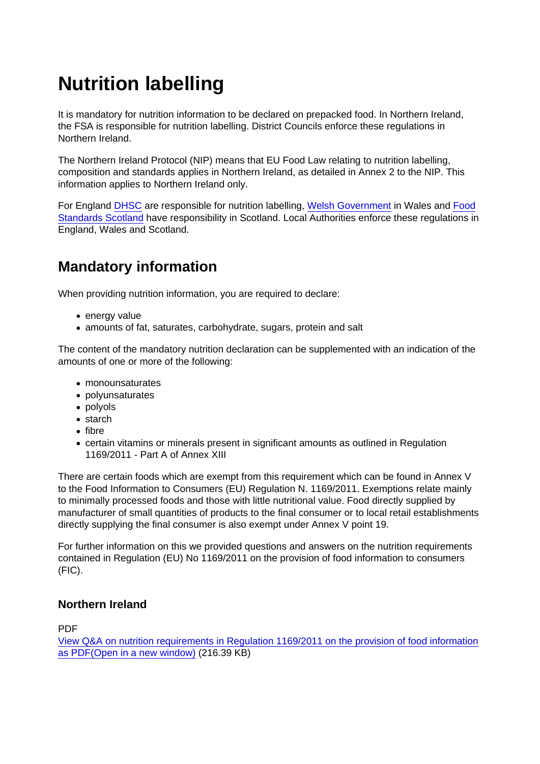# Nutrition labelling

It is mandatory for nutrition information to be declared on prepacked food. In Northern Ireland, the FSA is responsible for nutrition labelling. District Councils enforce these regulations in Northern Ireland.

The Northern Ireland Protocol (NIP) means that EU Food Law relating to nutrition labelling, composition and standards applies in Northern Ireland, as detailed in Annex 2 to the NIP. This information applies to Northern Ireland only.

For England [DHSC](https://www.gov.uk/guidance/food-labelling-giving-food-information-to-consumers) are responsible for nutrition labelling, [Welsh Government](https://gov.wales/nutrition-food-safety) in Wales and [Food](https://www.foodstandards.gov.scot/business-and-industry/safety-and-regulation/labelling) [Standards Scotland](https://www.foodstandards.gov.scot/business-and-industry/safety-and-regulation/labelling) have responsibility in Scotland. Local Authorities enforce these regulations in England, Wales and Scotland.

# Mandatory information

When providing nutrition information, you are required to declare:

- energy value
- amounts of fat, saturates, carbohydrate, sugars, protein and salt

The content of the mandatory nutrition declaration can be supplemented with an indication of the amounts of one or more of the following:

- monounsaturates
- polyunsaturates
- polyols
- starch
- fibre
- certain vitamins or minerals present in significant amounts as outlined in Regulation 1169/2011 - Part A of Annex XIII

There are certain foods which are exempt from this requirement which can be found in Annex V to the Food Information to Consumers (EU) Regulation N. 1169/2011. Exemptions relate mainly to minimally processed foods and those with little nutritional value. Food directly supplied by manufacturer of small quantities of products to the final consumer or to local retail establishments directly supplying the final consumer is also exempt under Annex V point 19.

For further information on this we provided questions and answers on the nutrition requirements contained in Regulation (EU) No 1169/2011 on the provision of food information to consumers (FIC).

#### Northern Ireland

PDF

[View Q&A on nutrition requirements in Regulation 1169/2011 on the provision of food information](https://www.food.gov.uk/sites/default/files/media/document/qanda-nutritionalrequirementsof11692011.pdf) [as PDF\(Open in a new window\)](https://www.food.gov.uk/sites/default/files/media/document/qanda-nutritionalrequirementsof11692011.pdf) (216.39 KB)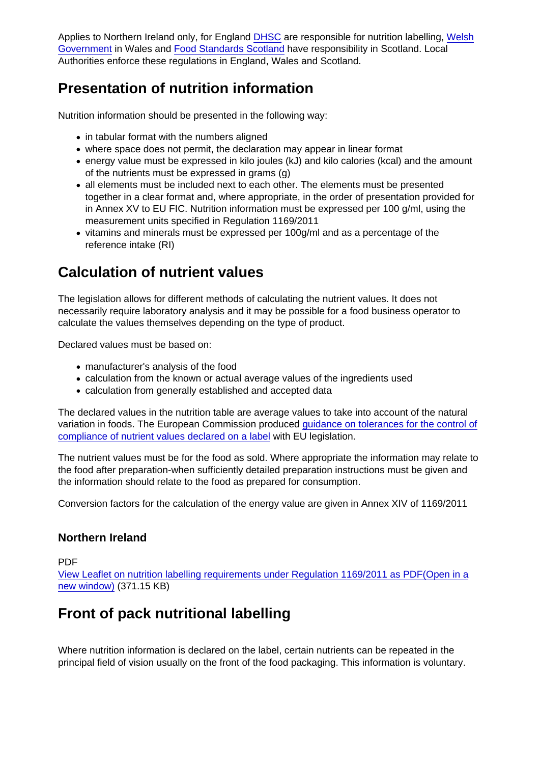Applies to Northern Ireland only, for England [DHSC](https://www.gov.uk/guidance/food-labelling-giving-food-information-to-consumers) are responsible for nutrition labelling, [Welsh](https://gov.wales/nutrition-food-safety) [Government](https://gov.wales/nutrition-food-safety) in Wales and [Food Standards Scotland](https://www.foodstandards.gov.scot/business-and-industry/safety-and-regulation/labelling) have responsibility in Scotland. Local Authorities enforce these regulations in England, Wales and Scotland.

# Presentation of nutrition information

Nutrition information should be presented in the following way:

- in tabular format with the numbers aligned
- where space does not permit, the declaration may appear in linear format
- energy value must be expressed in kilo joules (kJ) and kilo calories (kcal) and the amount of the nutrients must be expressed in grams (g)
- all elements must be included next to each other. The elements must be presented together in a clear format and, where appropriate, in the order of presentation provided for in Annex XV to EU FIC. Nutrition information must be expressed per 100 g/ml, using the measurement units specified in Regulation 1169/2011
- vitamins and minerals must be expressed per 100g/ml and as a percentage of the reference intake (RI)

### Calculation of nutrient values

The legislation allows for different methods of calculating the nutrient values. It does not necessarily require laboratory analysis and it may be possible for a food business operator to calculate the values themselves depending on the type of product.

Declared values must be based on:

- manufacturer's analysis of the food
- calculation from the known or actual average values of the ingredients used
- calculation from generally established and accepted data

The declared values in the nutrition table are average values to take into account of the natural variation in foods. The European Commission produced [guidance on tolerances for the control of](https://ec.europa.eu/food/safety/labelling_nutrition/labelling_legislation_en) [compliance of nutrient values declared on a label](https://ec.europa.eu/food/safety/labelling_nutrition/labelling_legislation_en) with EU legislation.

The nutrient values must be for the food as sold. Where appropriate the information may relate to the food after preparation-when sufficiently detailed preparation instructions must be given and the information should relate to the food as prepared for consumption.

Conversion factors for the calculation of the energy value are given in Annex XIV of 1169/2011

#### Northern Ireland

PDF

[View Leaflet on nutrition labelling requirements under Regulation 1169/2011 as PDF\(Open in a](https://www.food.gov.uk/sites/default/files/media/document/nutritionlabellinginformationleaflet.pdf) [new window\)](https://www.food.gov.uk/sites/default/files/media/document/nutritionlabellinginformationleaflet.pdf) (371.15 KB)

### Front of pack nutritional labelling

Where nutrition information is declared on the label, certain nutrients can be repeated in the principal field of vision usually on the front of the food packaging. This information is voluntary.